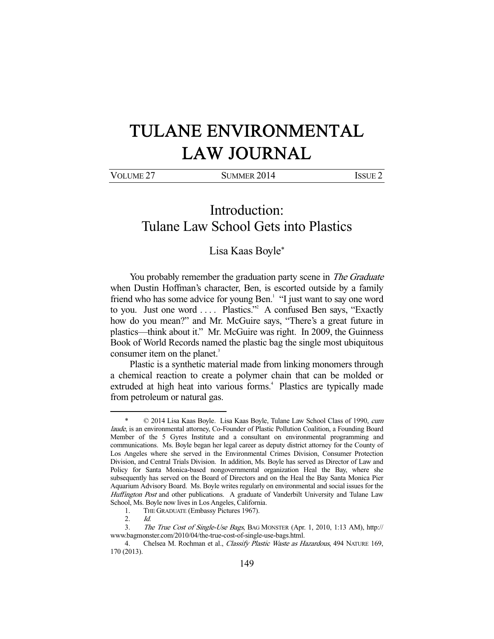## TULANE ENVIRONMENTAL LAW JOURNAL

| VOLUME.<br><b>SUMMER 2014</b><br>1551 ت |
|-----------------------------------------|
|-----------------------------------------|

## Introduction: Tulane Law School Gets into Plastics

## Lisa Kaas Boyle\*

You probably remember the graduation party scene in *The Graduate* when Dustin Hoffman's character, Ben, is escorted outside by a family friend who has some advice for young Ben.<sup>1</sup> "I just want to say one word to you. Just one word .... Plastics."<sup>2</sup> A confused Ben says, "Exactly how do you mean?" and Mr. McGuire says, "There's a great future in plastics—think about it." Mr. McGuire was right. In 2009, the Guinness Book of World Records named the plastic bag the single most ubiquitous consumer item on the planet.<sup>3</sup>

 Plastic is a synthetic material made from linking monomers through a chemical reaction to create a polymer chain that can be molded or extruded at high heat into various forms.<sup>4</sup> Plastics are typically made from petroleum or natural gas.

-

 $© 2014 Lisa Kaas Boyle. Lisa Kaas Boyle, Tulane Law School Class of 1990, cum$ laude, is an environmental attorney, Co-Founder of Plastic Pollution Coalition, a Founding Board Member of the 5 Gyres Institute and a consultant on environmental programming and communications. Ms. Boyle began her legal career as deputy district attorney for the County of Los Angeles where she served in the Environmental Crimes Division, Consumer Protection Division, and Central Trials Division. In addition, Ms. Boyle has served as Director of Law and Policy for Santa Monica-based nongovernmental organization Heal the Bay, where she subsequently has served on the Board of Directors and on the Heal the Bay Santa Monica Pier Aquarium Advisory Board. Ms. Boyle writes regularly on environmental and social issues for the Huffington Post and other publications. A graduate of Vanderbilt University and Tulane Law School, Ms. Boyle now lives in Los Angeles, California.

 <sup>1.</sup> THE GRADUATE (Embassy Pictures 1967).

<sup>2.</sup> *Id.*<br>3. *Th*  3. The True Cost of Single-Use Bags, BAG MONSTER (Apr. 1, 2010, 1:13 AM), http:// www.bagmonster.com/2010/04/the-true-cost-of-single-use-bags.html.

<sup>4.</sup> Chelsea M. Rochman et al., *Classify Plastic Waste as Hazardous*, 494 NATURE 169, 170 (2013).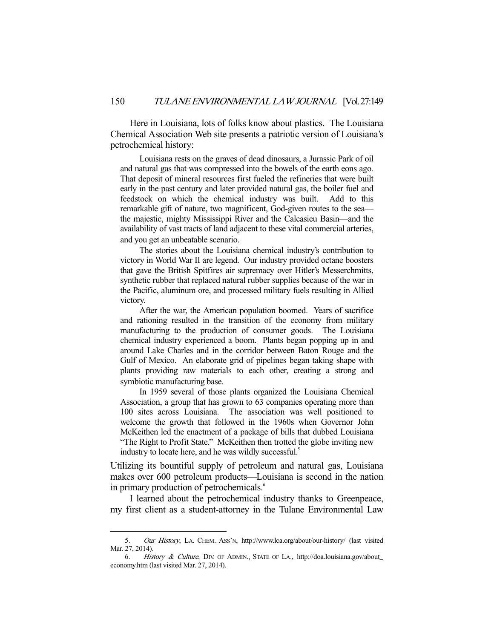Here in Louisiana, lots of folks know about plastics. The Louisiana Chemical Association Web site presents a patriotic version of Louisiana's petrochemical history:

 Louisiana rests on the graves of dead dinosaurs, a Jurassic Park of oil and natural gas that was compressed into the bowels of the earth eons ago. That deposit of mineral resources first fueled the refineries that were built early in the past century and later provided natural gas, the boiler fuel and feedstock on which the chemical industry was built. Add to this remarkable gift of nature, two magnificent, God-given routes to the sea the majestic, mighty Mississippi River and the Calcasieu Basin—and the availability of vast tracts of land adjacent to these vital commercial arteries, and you get an unbeatable scenario.

 The stories about the Louisiana chemical industry's contribution to victory in World War II are legend. Our industry provided octane boosters that gave the British Spitfires air supremacy over Hitler's Messerchmitts, synthetic rubber that replaced natural rubber supplies because of the war in the Pacific, aluminum ore, and processed military fuels resulting in Allied victory.

 After the war, the American population boomed. Years of sacrifice and rationing resulted in the transition of the economy from military manufacturing to the production of consumer goods. The Louisiana chemical industry experienced a boom. Plants began popping up in and around Lake Charles and in the corridor between Baton Rouge and the Gulf of Mexico. An elaborate grid of pipelines began taking shape with plants providing raw materials to each other, creating a strong and symbiotic manufacturing base.

 In 1959 several of those plants organized the Louisiana Chemical Association, a group that has grown to 63 companies operating more than 100 sites across Louisiana. The association was well positioned to welcome the growth that followed in the 1960s when Governor John McKeithen led the enactment of a package of bills that dubbed Louisiana "The Right to Profit State." McKeithen then trotted the globe inviting new industry to locate here, and he was wildly successful.<sup>5</sup>

Utilizing its bountiful supply of petroleum and natural gas, Louisiana makes over 600 petroleum products—Louisiana is second in the nation in primary production of petrochemicals.<sup>6</sup>

 I learned about the petrochemical industry thanks to Greenpeace, my first client as a student-attorney in the Tulane Environmental Law

-

<sup>5.</sup> Our History, LA. CHEM. ASS'N, http://www.lca.org/about/our-history/ (last visited Mar. 27, 2014).

 <sup>6.</sup> History & Culture, DIV. OF ADMIN., STATE OF LA., http://doa.louisiana.gov/about\_ economy.htm (last visited Mar. 27, 2014).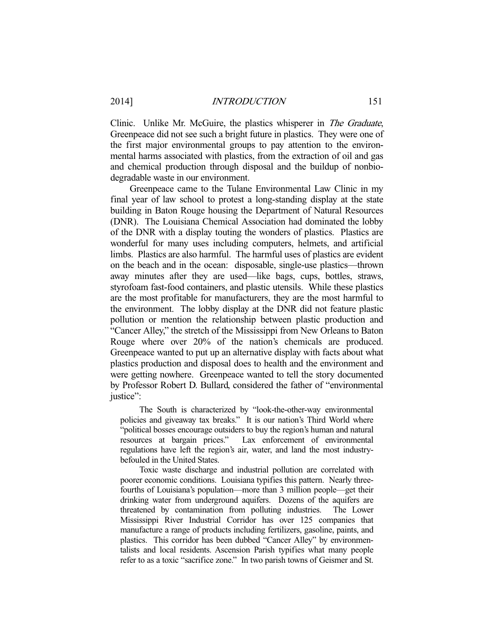Clinic. Unlike Mr. McGuire, the plastics whisperer in The Graduate, Greenpeace did not see such a bright future in plastics. They were one of the first major environmental groups to pay attention to the environmental harms associated with plastics, from the extraction of oil and gas and chemical production through disposal and the buildup of nonbiodegradable waste in our environment.

 Greenpeace came to the Tulane Environmental Law Clinic in my final year of law school to protest a long-standing display at the state building in Baton Rouge housing the Department of Natural Resources (DNR). The Louisiana Chemical Association had dominated the lobby of the DNR with a display touting the wonders of plastics. Plastics are wonderful for many uses including computers, helmets, and artificial limbs. Plastics are also harmful. The harmful uses of plastics are evident on the beach and in the ocean: disposable, single-use plastics—thrown away minutes after they are used—like bags, cups, bottles, straws, styrofoam fast-food containers, and plastic utensils. While these plastics are the most profitable for manufacturers, they are the most harmful to the environment. The lobby display at the DNR did not feature plastic pollution or mention the relationship between plastic production and "Cancer Alley," the stretch of the Mississippi from New Orleans to Baton Rouge where over 20% of the nation's chemicals are produced. Greenpeace wanted to put up an alternative display with facts about what plastics production and disposal does to health and the environment and were getting nowhere. Greenpeace wanted to tell the story documented by Professor Robert D. Bullard, considered the father of "environmental iustice":

 The South is characterized by "look-the-other-way environmental policies and giveaway tax breaks." It is our nation's Third World where "political bosses encourage outsiders to buy the region's human and natural resources at bargain prices." Lax enforcement of environmental regulations have left the region's air, water, and land the most industrybefouled in the United States.

 Toxic waste discharge and industrial pollution are correlated with poorer economic conditions. Louisiana typifies this pattern. Nearly threefourths of Louisiana's population—more than 3 million people—get their drinking water from underground aquifers. Dozens of the aquifers are threatened by contamination from polluting industries. The Lower Mississippi River Industrial Corridor has over 125 companies that manufacture a range of products including fertilizers, gasoline, paints, and plastics. This corridor has been dubbed "Cancer Alley" by environmentalists and local residents. Ascension Parish typifies what many people refer to as a toxic "sacrifice zone." In two parish towns of Geismer and St.